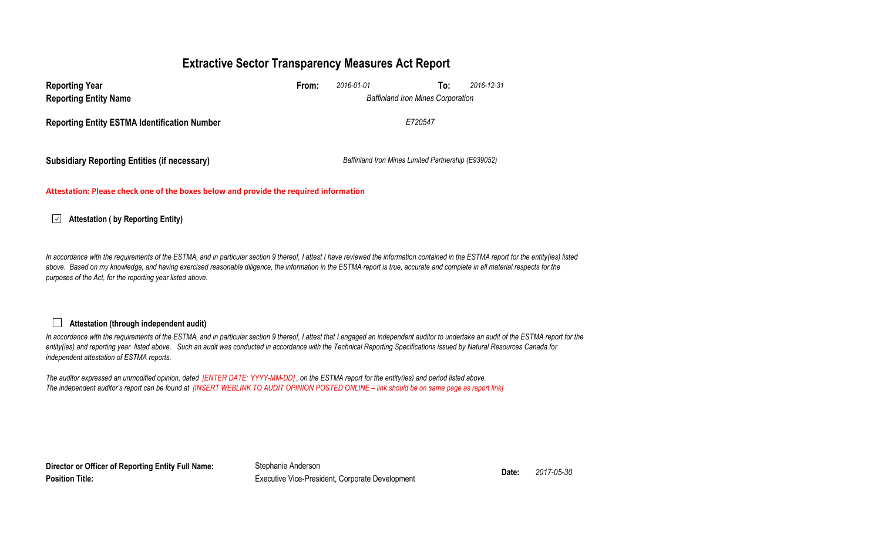# **Extractive Sector Transparency Measures Act Report**

| <b>Reporting Year</b><br><b>Reporting Entity Name</b>                                                                                        | From: | 2016-01-01<br><b>Baffinland Iron Mines Corporation</b> | To: | 2016-12-31 |  |  |  |  |  |
|----------------------------------------------------------------------------------------------------------------------------------------------|-------|--------------------------------------------------------|-----|------------|--|--|--|--|--|
| <b>Reporting Entity ESTMA Identification Number</b>                                                                                          |       | F720547                                                |     |            |  |  |  |  |  |
| <b>Subsidiary Reporting Entities (if necessary)</b>                                                                                          |       |                                                        |     |            |  |  |  |  |  |
| Baffinland Iron Mines Limited Partnership (E939052)<br>Attestation: Please check one of the boxes below and provide the required information |       |                                                        |     |            |  |  |  |  |  |

#### $\overline{\mathcal{L}}$ **Attestation ( by Reporting Entity)**

In accordance with the requirements of the ESTMA, and in particular section 9 thereof, I attest I have reviewed the information contained in the ESTMA report for the entity(ies) listed above. Based on my knowledge, and having exercised reasonable diligence, the information in the ESTMA report is true, accurate and complete in all material respects for the *purposes of the Act, for the reporting year listed above.* 

### **Attestation (through independent audit)**

In accordance with the requirements of the ESTMA, and in particular section 9 thereof, I attest that I engaged an independent auditor to undertake an audit of the ESTMA report for the *entity(ies) and reporting year listed above. Such an audit was conducted in accordance with the Technical Reporting Specifications issued by Natural Resources Canada for independent attestation of ESTMA reports.* 

*The auditor expressed an unmodified opinion, dated [ENTER DATE: YYYY-MM-DD] , on the ESTMA report for the entity(ies) and period listed above. The independent auditor's report can be found at [INSERT WEBLINK TO AUDIT OPINION POSTED ONLINE – link should be on same page as report link]* 

**Director or Officer of Reporting Entity Full Name: Position Title:**

Stephanie Anderson **Date:** *2017-05-30* Executive Vice-President, Corporate Development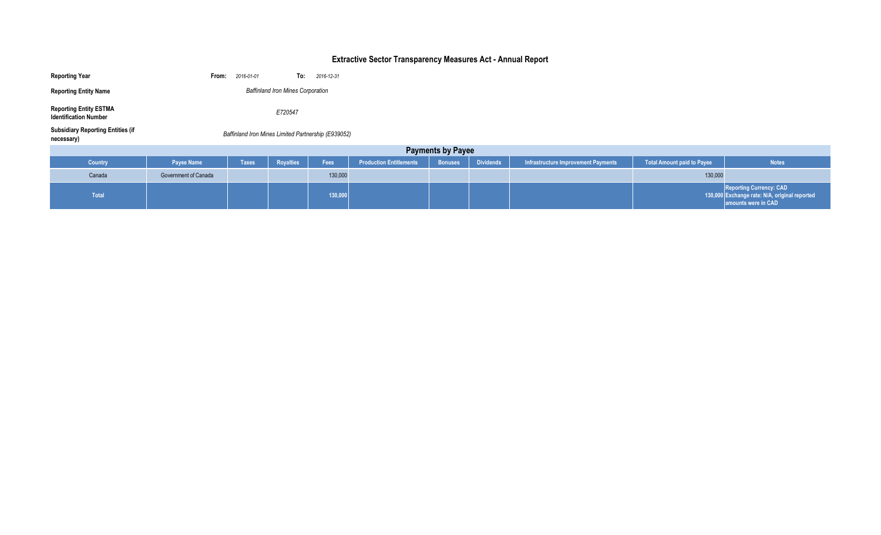# **Extractive Sector Transparency Measures Act - Annual Report**

| <b>Reporting Year</b>                                         | From:                                               | 2016-01-01   |           | To: 2016-12-31 |                                |                |                  |                                            |                                   |                                                                                                        |
|---------------------------------------------------------------|-----------------------------------------------------|--------------|-----------|----------------|--------------------------------|----------------|------------------|--------------------------------------------|-----------------------------------|--------------------------------------------------------------------------------------------------------|
| <b>Reporting Entity Name</b>                                  | <b>Baffinland Iron Mines Corporation</b>            |              |           |                |                                |                |                  |                                            |                                   |                                                                                                        |
| <b>Reporting Entity ESTMA</b><br><b>Identification Number</b> | E720547                                             |              |           |                |                                |                |                  |                                            |                                   |                                                                                                        |
| <b>Subsidiary Reporting Entities (if</b><br>necessary)        | Baffinland Iron Mines Limited Partnership (E939052) |              |           |                |                                |                |                  |                                            |                                   |                                                                                                        |
| <b>Payments by Payee</b>                                      |                                                     |              |           |                |                                |                |                  |                                            |                                   |                                                                                                        |
| Country                                                       | Payee Name                                          | <b>Taxes</b> | Royalties | Fees           | <b>Production Entitlements</b> | <b>Bonuses</b> | <b>Dividends</b> | <b>Infrastructure Improvement Payments</b> | <b>Total Amount paid to Payee</b> | <b>Notes</b>                                                                                           |
| Canada                                                        | Government of Canada                                |              |           | 130,000        |                                |                |                  |                                            | 130,000                           |                                                                                                        |
| Total                                                         |                                                     |              |           | 130,000        |                                |                |                  |                                            |                                   | <b>Reporting Currency: CAD</b><br>130,000 Exchange rate: N/A, original reported<br>amounts were in CAD |